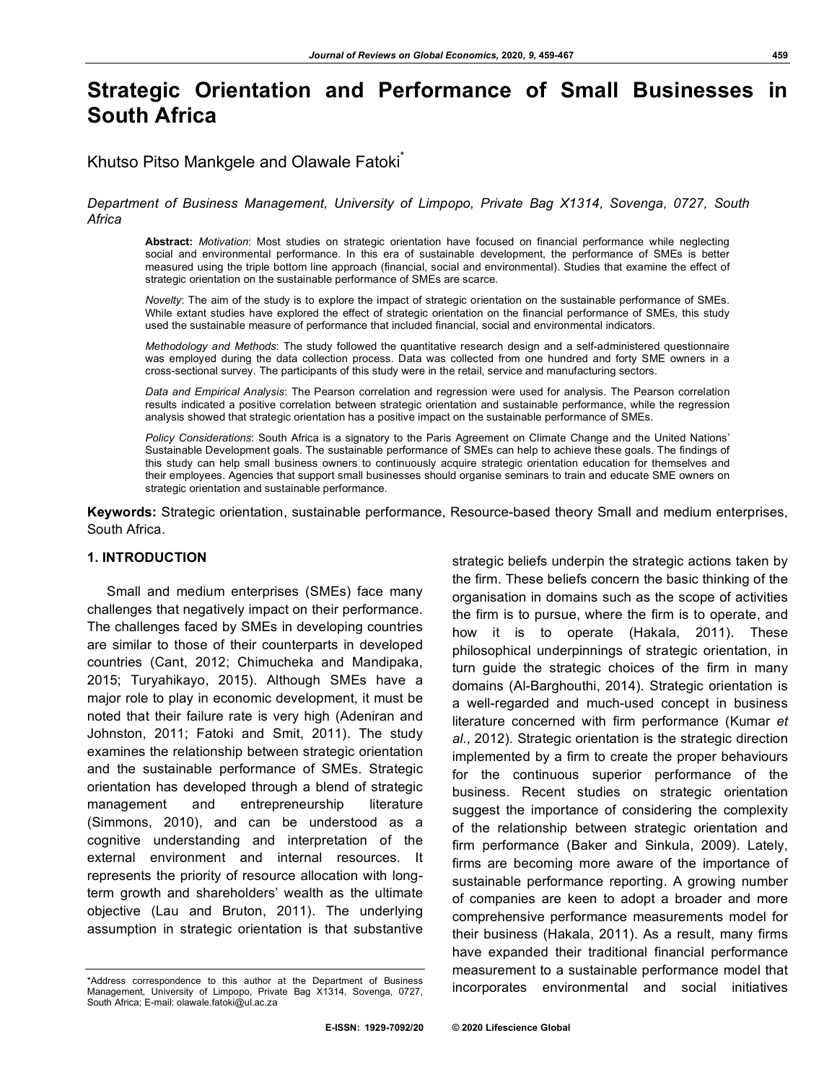# **Strategic Orientation and Performance of Small Businesses in South Africa**

# Khutso Pitso Mankgele and Olawale Fatoki

## *Department of Business Management, University of Limpopo, Private Bag X1314, Sovenga, 0727, South Africa*

**Abstract:** *Motivation*: Most studies on strategic orientation have focused on financial performance while neglecting social and environmental performance. In this era of sustainable development, the performance of SMEs is better measured using the triple bottom line approach (financial, social and environmental). Studies that examine the effect of strategic orientation on the sustainable performance of SMEs are scarce.

*Novelty*: The aim of the study is to explore the impact of strategic orientation on the sustainable performance of SMEs. While extant studies have explored the effect of strategic orientation on the financial performance of SMEs, this study used the sustainable measure of performance that included financial, social and environmental indicators.

*Methodology and Methods*: The study followed the quantitative research design and a self-administered questionnaire was employed during the data collection process. Data was collected from one hundred and forty SME owners in a cross-sectional survey. The participants of this study were in the retail, service and manufacturing sectors.

*Data and Empirical Analysis*: The Pearson correlation and regression were used for analysis. The Pearson correlation results indicated a positive correlation between strategic orientation and sustainable performance, while the regression analysis showed that strategic orientation has a positive impact on the sustainable performance of SMEs.

*Policy Considerations*: South Africa is a signatory to the Paris Agreement on Climate Change and the United Nations' Sustainable Development goals. The sustainable performance of SMEs can help to achieve these goals. The findings of this study can help small business owners to continuously acquire strategic orientation education for themselves and their employees. Agencies that support small businesses should organise seminars to train and educate SME owners on strategic orientation and sustainable performance.

**Keywords:** Strategic orientation, sustainable performance, Resource-based theory Small and medium enterprises, South Africa.

#### **1. INTRODUCTION**

Small and medium enterprises (SMEs) face many challenges that negatively impact on their performance. The challenges faced by SMEs in developing countries are similar to those of their counterparts in developed countries (Cant, 2012; Chimucheka and Mandipaka, 2015; Turyahikayo, 2015). Although SMEs have a major role to play in economic development, it must be noted that their failure rate is very high (Adeniran and Johnston, 2011; Fatoki and Smit, 2011). The study examines the relationship between strategic orientation and the sustainable performance of SMEs. Strategic orientation has developed through a blend of strategic management and entrepreneurship literature (Simmons, 2010), and can be understood as a cognitive understanding and interpretation of the external environment and internal resources. It represents the priority of resource allocation with longterm growth and shareholders' wealth as the ultimate objective (Lau and Bruton, 2011). The underlying assumption in strategic orientation is that substantive

the firm. These beliefs concern the basic thinking of the organisation in domains such as the scope of activities the firm is to pursue, where the firm is to operate, and how it is to operate (Hakala, 2011). These philosophical underpinnings of strategic orientation, in turn guide the strategic choices of the firm in many domains (Al-Barghouthi, 2014). Strategic orientation is a well-regarded and much-used concept in business literature concerned with firm performance (Kumar *et al*., 2012). Strategic orientation is the strategic direction implemented by a firm to create the proper behaviours for the continuous superior performance of the business. Recent studies on strategic orientation suggest the importance of considering the complexity of the relationship between strategic orientation and firm performance (Baker and Sinkula, 2009). Lately, firms are becoming more aware of the importance of sustainable performance reporting. A growing number of companies are keen to adopt a broader and more comprehensive performance measurements model for their business (Hakala, 2011). As a result, many firms have expanded their traditional financial performance measurement to a sustainable performance model that incorporates environmental and social initiatives

strategic beliefs underpin the strategic actions taken by

<sup>\*</sup>Address correspondence to this author at the Department of Business Management, University of Limpopo, Private Bag X1314, Sovenga, 0727, South Africa; E-mail: olawale.fatoki@ul.ac.za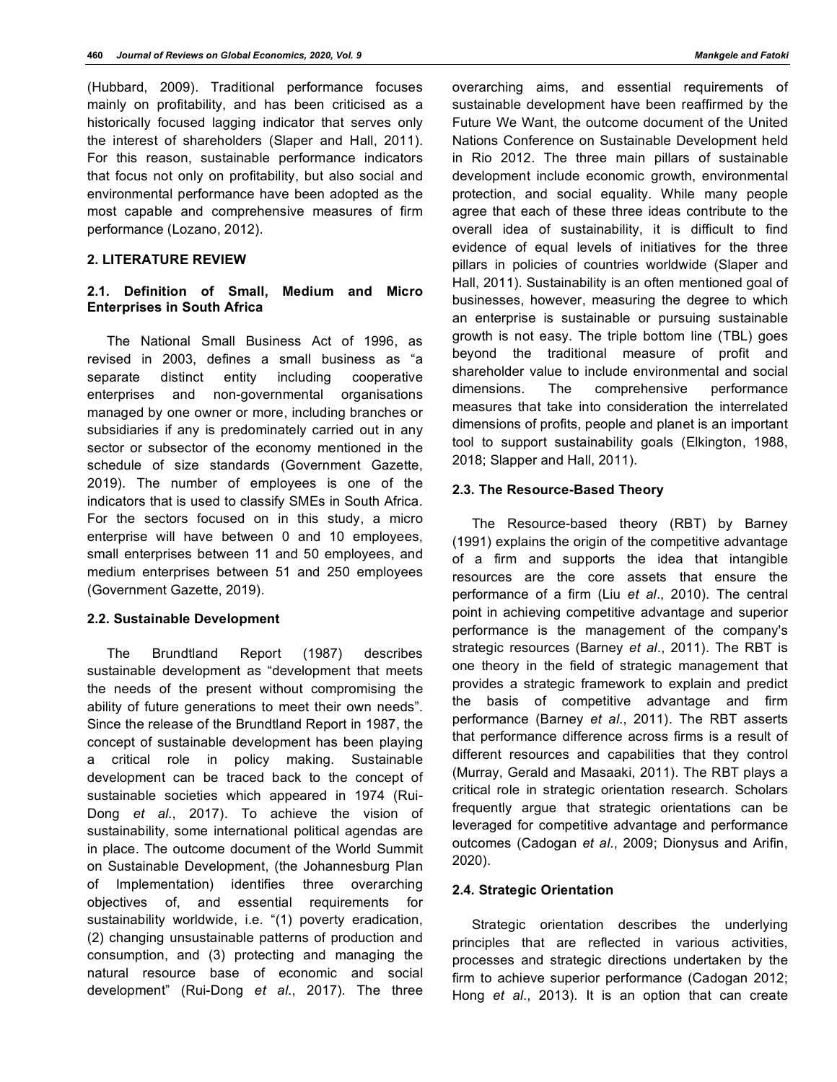(Hubbard, 2009). Traditional performance focuses mainly on profitability, and has been criticised as a historically focused lagging indicator that serves only the interest of shareholders (Slaper and Hall, 2011). For this reason, sustainable performance indicators that focus not only on profitability, but also social and environmental performance have been adopted as the most capable and comprehensive measures of firm performance (Lozano, 2012).

## **2. LITERATURE REVIEW**

## **2.1. Definition of Small, Medium and Micro Enterprises in South Africa**

The National Small Business Act of 1996, as revised in 2003, defines a small business as "a separate distinct entity including cooperative enterprises and non-governmental organisations managed by one owner or more, including branches or subsidiaries if any is predominately carried out in any sector or subsector of the economy mentioned in the schedule of size standards (Government Gazette, 2019). The number of employees is one of the indicators that is used to classify SMEs in South Africa. For the sectors focused on in this study, a micro enterprise will have between 0 and 10 employees, small enterprises between 11 and 50 employees, and medium enterprises between 51 and 250 employees (Government Gazette, 2019).

#### **2.2. Sustainable Development**

The Brundtland Report (1987) describes sustainable development as "development that meets the needs of the present without compromising the ability of future generations to meet their own needs". Since the release of the Brundtland Report in 1987, the concept of sustainable development has been playing a critical role in policy making. Sustainable development can be traced back to the concept of sustainable societies which appeared in 1974 (Rui-Dong *et al*., 2017). To achieve the vision of sustainability, some international political agendas are in place. The outcome document of the World Summit on Sustainable Development, (the Johannesburg Plan of Implementation) identifies three overarching objectives of, and essential requirements for sustainability worldwide, i.e. "(1) poverty eradication, (2) changing unsustainable patterns of production and consumption, and (3) protecting and managing the natural resource base of economic and social development" (Rui-Dong *et al*., 2017). The three

overarching aims, and essential requirements of sustainable development have been reaffirmed by the Future We Want, the outcome document of the United Nations Conference on Sustainable Development held in Rio 2012. The three main pillars of sustainable development include economic growth, environmental protection, and social equality. While many people agree that each of these three ideas contribute to the overall idea of sustainability, it is difficult to find evidence of equal levels of initiatives for the three pillars in policies of countries worldwide (Slaper and Hall, 2011). Sustainability is an often mentioned goal of businesses, however, measuring the degree to which an enterprise is sustainable or pursuing sustainable growth is not easy. The triple bottom line (TBL) goes beyond the traditional measure of profit and shareholder value to include environmental and social dimensions. The comprehensive performance measures that take into consideration the interrelated dimensions of profits, people and planet is an important tool to support sustainability goals (Elkington, 1988, 2018; Slapper and Hall, 2011).

#### **2.3. The Resource-Based Theory**

The Resource-based theory (RBT) by Barney (1991) explains the origin of the competitive advantage of a firm and supports the idea that intangible resources are the core assets that ensure the performance of a firm (Liu *et al*., 2010). The central point in achieving competitive advantage and superior performance is the management of the company's strategic resources (Barney *et al*., 2011). The RBT is one theory in the field of strategic management that provides a strategic framework to explain and predict the basis of competitive advantage and firm performance (Barney *et al*., 2011). The RBT asserts that performance difference across firms is a result of different resources and capabilities that they control (Murray, Gerald and Masaaki, 2011). The RBT plays a critical role in strategic orientation research. Scholars frequently argue that strategic orientations can be leveraged for competitive advantage and performance outcomes (Cadogan *et al*., 2009; Dionysus and Arifin, 2020).

#### **2.4. Strategic Orientation**

Strategic orientation describes the underlying principles that are reflected in various activities, processes and strategic directions undertaken by the firm to achieve superior performance (Cadogan 2012; Hong *et al*., 2013). It is an option that can create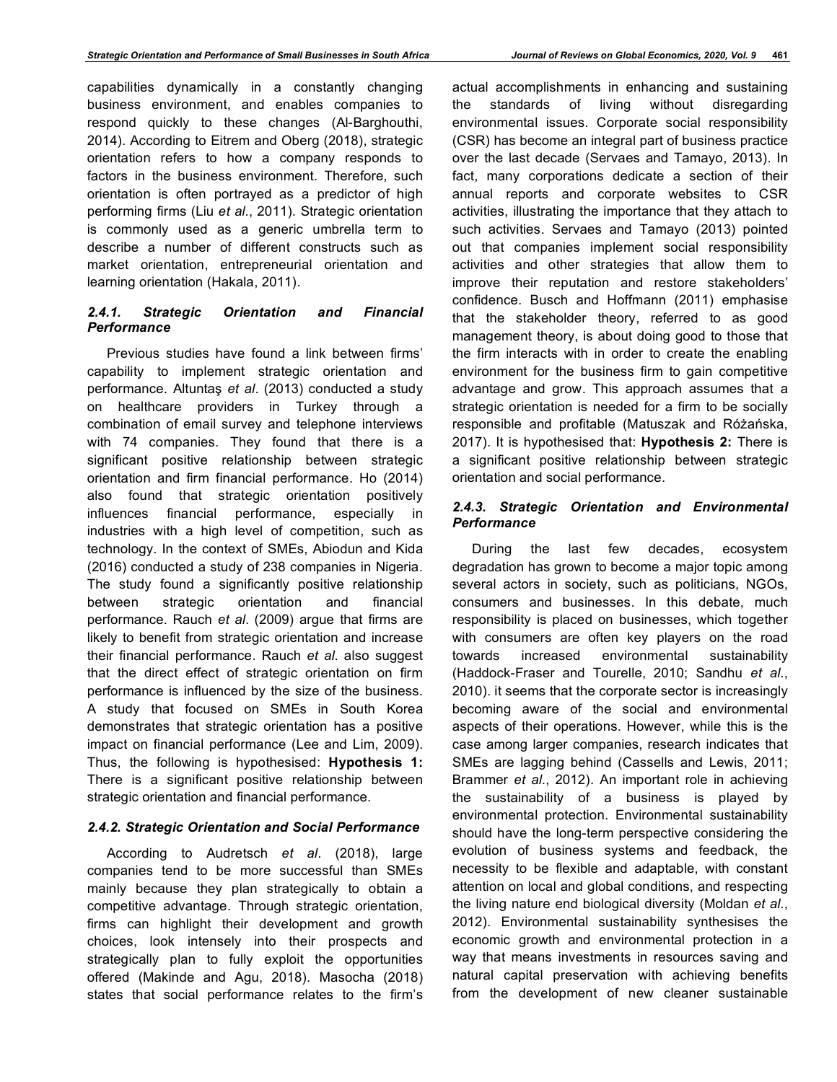capabilities dynamically in a constantly changing business environment, and enables companies to respond quickly to these changes (Al-Barghouthi, 2014). According to Eitrem and Oberg (2018), strategic orientation refers to how a company responds to factors in the business environment. Therefore, such orientation is often portrayed as a predictor of high performing firms (Liu *et al*., 2011). Strategic orientation is commonly used as a generic umbrella term to describe a number of different constructs such as market orientation, entrepreneurial orientation and learning orientation (Hakala, 2011).

# *2.4.1. Strategic Orientation and Financial Performance*

Previous studies have found a link between firms' capability to implement strategic orientation and performance. Altuntaş *et al*. (2013) conducted a study on healthcare providers in Turkey through a combination of email survey and telephone interviews with 74 companies. They found that there is a significant positive relationship between strategic orientation and firm financial performance. Ho (2014) also found that strategic orientation positively influences financial performance, especially in industries with a high level of competition, such as technology. In the context of SMEs, Abiodun and Kida (2016) conducted a study of 238 companies in Nigeria. The study found a significantly positive relationship between strategic orientation and financial performance. Rauch *et al*. (2009) argue that firms are likely to benefit from strategic orientation and increase their financial performance. Rauch *et al*. also suggest that the direct effect of strategic orientation on firm performance is influenced by the size of the business. A study that focused on SMEs in South Korea demonstrates that strategic orientation has a positive impact on financial performance (Lee and Lim, 2009). Thus, the following is hypothesised: **Hypothesis 1:** There is a significant positive relationship between strategic orientation and financial performance.

## *2.4.2. Strategic Orientation and Social Performance*

According to Audretsch *et al*. (2018), large companies tend to be more successful than SMEs mainly because they plan strategically to obtain a competitive advantage. Through strategic orientation, firms can highlight their development and growth choices, look intensely into their prospects and strategically plan to fully exploit the opportunities offered (Makinde and Agu, 2018). Masocha (2018) states that social performance relates to the firm's

actual accomplishments in enhancing and sustaining the standards of living without disregarding environmental issues. Corporate social responsibility (CSR) has become an integral part of business practice over the last decade (Servaes and Tamayo, 2013). In fact, many corporations dedicate a section of their annual reports and corporate websites to CSR activities, illustrating the importance that they attach to such activities. Servaes and Tamayo (2013) pointed out that companies implement social responsibility activities and other strategies that allow them to improve their reputation and restore stakeholders' confidence. Busch and Hoffmann (2011) emphasise that the stakeholder theory, referred to as good management theory, is about doing good to those that the firm interacts with in order to create the enabling environment for the business firm to gain competitive advantage and grow. This approach assumes that a strategic orientation is needed for a firm to be socially responsible and profitable (Matuszak and Różańska, 2017). It is hypothesised that: **Hypothesis 2:** There is a significant positive relationship between strategic orientation and social performance.

# *2.4.3. Strategic Orientation and Environmental Performance*

During the last few decades, ecosystem degradation has grown to become a major topic among several actors in society, such as politicians, NGOs, consumers and businesses. In this debate, much responsibility is placed on businesses, which together with consumers are often key players on the road towards increased environmental sustainability (Haddock-Fraser and Tourelle, 2010; Sandhu *et al*., 2010). it seems that the corporate sector is increasingly becoming aware of the social and environmental aspects of their operations. However, while this is the case among larger companies, research indicates that SMEs are lagging behind (Cassells and Lewis, 2011; Brammer *et al*., 2012). An important role in achieving the sustainability of a business is played by environmental protection. Environmental sustainability should have the long-term perspective considering the evolution of business systems and feedback, the necessity to be flexible and adaptable, with constant attention on local and global conditions, and respecting the living nature end biological diversity (Moldan *et al*., 2012). Environmental sustainability synthesises the economic growth and environmental protection in a way that means investments in resources saving and natural capital preservation with achieving benefits from the development of new cleaner sustainable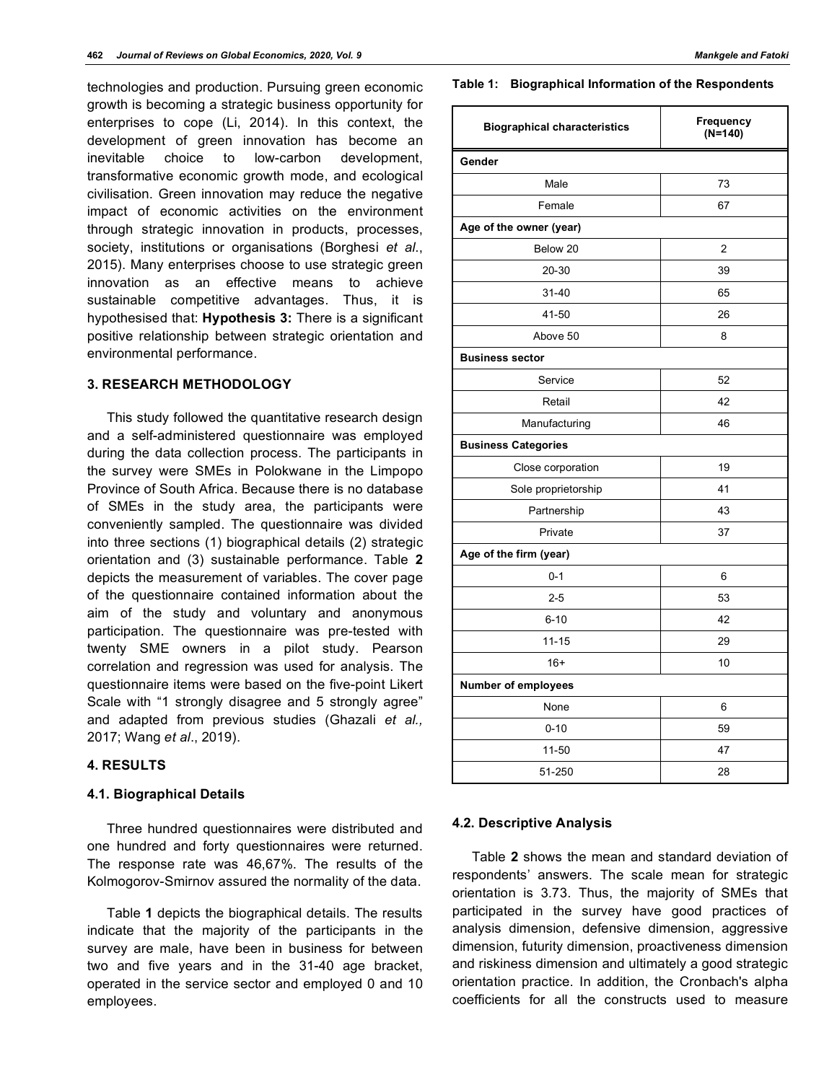technologies and production. Pursuing green economic growth is becoming a strategic business opportunity for enterprises to cope (Li, 2014). In this context, the development of green innovation has become an inevitable choice to low-carbon development, transformative economic growth mode, and ecological civilisation. Green innovation may reduce the negative impact of economic activities on the environment through strategic innovation in products, processes, society, institutions or organisations (Borghesi *et al*., 2015). Many enterprises choose to use strategic green innovation as an effective means to achieve sustainable competitive advantages. Thus, it is hypothesised that: **Hypothesis 3:** There is a significant positive relationship between strategic orientation and environmental performance.

## **3. RESEARCH METHODOLOGY**

This study followed the quantitative research design and a self-administered questionnaire was employed during the data collection process. The participants in the survey were SMEs in Polokwane in the Limpopo Province of South Africa. Because there is no database of SMEs in the study area, the participants were conveniently sampled. The questionnaire was divided into three sections (1) biographical details (2) strategic orientation and (3) sustainable performance. Table **2** depicts the measurement of variables. The cover page of the questionnaire contained information about the aim of the study and voluntary and anonymous participation. The questionnaire was pre-tested with twenty SME owners in a pilot study. Pearson correlation and regression was used for analysis. The questionnaire items were based on the five-point Likert Scale with "1 strongly disagree and 5 strongly agree" and adapted from previous studies (Ghazali *et al.,* 2017; Wang *et al*., 2019).

# **4. RESULTS**

#### **4.1. Biographical Details**

Three hundred questionnaires were distributed and one hundred and forty questionnaires were returned. The response rate was 46,67%. The results of the Kolmogorov-Smirnov assured the normality of the data.

Table **1** depicts the biographical details. The results indicate that the majority of the participants in the survey are male, have been in business for between two and five years and in the 31-40 age bracket, operated in the service sector and employed 0 and 10 employees.

**Table 1: Biographical Information of the Respondents**

| <b>Biographical characteristics</b> | <b>Frequency</b><br>(N=140) |  |  |
|-------------------------------------|-----------------------------|--|--|
| Gender                              |                             |  |  |
| Male                                | 73                          |  |  |
| Female                              | 67                          |  |  |
| Age of the owner (year)             |                             |  |  |
| Below 20                            | $\overline{2}$              |  |  |
| 20-30                               | 39                          |  |  |
| $31 - 40$                           | 65                          |  |  |
| 41-50                               | 26                          |  |  |
| Above 50                            | 8                           |  |  |
| <b>Business sector</b>              |                             |  |  |
| Service                             | 52                          |  |  |
| Retail                              | 42                          |  |  |
| Manufacturing                       | 46                          |  |  |
| <b>Business Categories</b>          |                             |  |  |
| Close corporation                   | 19                          |  |  |
| Sole proprietorship                 | 41                          |  |  |
| Partnership                         | 43                          |  |  |
| Private                             | 37                          |  |  |
| Age of the firm (year)              |                             |  |  |
| $0 - 1$                             | 6                           |  |  |
| $2 - 5$                             | 53                          |  |  |
| $6 - 10$                            | 42                          |  |  |
| $11 - 15$                           | 29                          |  |  |
| $16+$                               | 10                          |  |  |
| Number of employees                 |                             |  |  |
| None                                | 6                           |  |  |
| $0 - 10$                            | 59                          |  |  |
| 11-50                               | 47                          |  |  |
| 51-250                              | 28                          |  |  |

#### **4.2. Descriptive Analysis**

Table **2** shows the mean and standard deviation of respondents' answers. The scale mean for strategic orientation is 3.73. Thus, the majority of SMEs that participated in the survey have good practices of analysis dimension, defensive dimension, aggressive dimension, futurity dimension, proactiveness dimension and riskiness dimension and ultimately a good strategic orientation practice. In addition, the Cronbach's alpha coefficients for all the constructs used to measure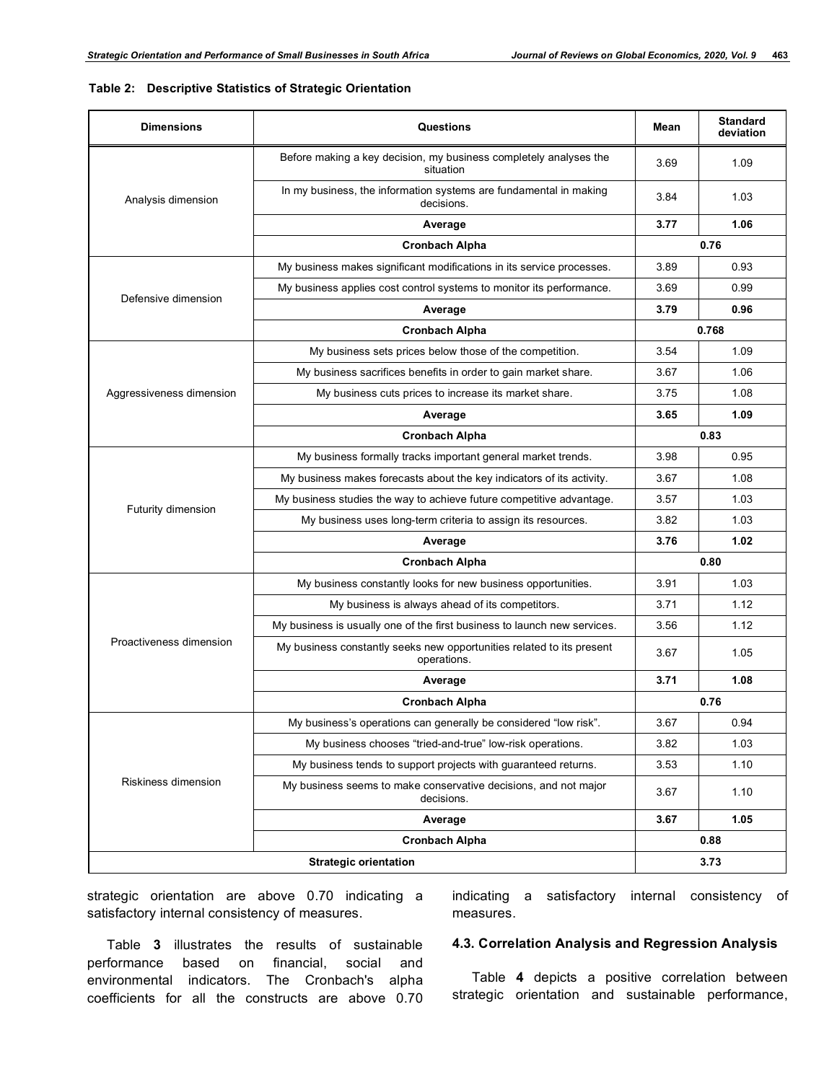## **Table 2: Descriptive Statistics of Strategic Orientation**

| <b>Dimensions</b>        | Questions                                                                            | Mean         | <b>Standard</b><br>deviation |  |
|--------------------------|--------------------------------------------------------------------------------------|--------------|------------------------------|--|
| Analysis dimension       | Before making a key decision, my business completely analyses the<br>situation       |              | 1.09                         |  |
|                          | In my business, the information systems are fundamental in making<br>decisions.      |              | 1.03                         |  |
|                          | Average                                                                              |              | 1.06                         |  |
|                          | <b>Cronbach Alpha</b>                                                                |              | 0.76                         |  |
|                          | My business makes significant modifications in its service processes.                | 3.89         | 0.93                         |  |
| Defensive dimension      | My business applies cost control systems to monitor its performance.                 | 3.69         | 0.99                         |  |
|                          | Average                                                                              | 3.79         | 0.96                         |  |
|                          | <b>Cronbach Alpha</b>                                                                |              | 0.768                        |  |
|                          | My business sets prices below those of the competition.                              | 3.54         | 1.09                         |  |
|                          | My business sacrifices benefits in order to gain market share.                       | 3.67         | 1.06                         |  |
| Aggressiveness dimension | My business cuts prices to increase its market share.                                | 3.75         | 1.08                         |  |
|                          | Average                                                                              | 3.65         | 1.09                         |  |
|                          | <b>Cronbach Alpha</b>                                                                |              | 0.83                         |  |
|                          | My business formally tracks important general market trends.                         | 3.98         | 0.95                         |  |
|                          | My business makes forecasts about the key indicators of its activity.                | 3.67         | 1.08                         |  |
|                          | My business studies the way to achieve future competitive advantage.                 | 3.57         | 1.03                         |  |
| Futurity dimension       | My business uses long-term criteria to assign its resources.                         | 3.82         | 1.03                         |  |
|                          | Average                                                                              | 1.02<br>3.76 |                              |  |
|                          | <b>Cronbach Alpha</b>                                                                |              | 0.80                         |  |
|                          | My business constantly looks for new business opportunities.                         | 3.91         | 1.03                         |  |
|                          | My business is always ahead of its competitors.                                      | 3.71         | 1.12                         |  |
|                          | My business is usually one of the first business to launch new services.             | 3.56         | 1.12                         |  |
| Proactiveness dimension  | My business constantly seeks new opportunities related to its present<br>operations. | 3.67         | 1.05                         |  |
|                          | Average                                                                              | 3.71         | 1.08                         |  |
|                          | <b>Cronbach Alpha</b>                                                                | 0.76         |                              |  |
|                          | My business's operations can generally be considered "low risk".                     | 3.67         | 0.94                         |  |
| Riskiness dimension      | My business chooses "tried-and-true" low-risk operations.                            | 3.82         | 1.03                         |  |
|                          | My business tends to support projects with guaranteed returns.                       | 3.53         | 1.10                         |  |
|                          | My business seems to make conservative decisions, and not major<br>decisions.        | 3.67         | 1.10                         |  |
|                          | Average                                                                              | 3.67         | 1.05                         |  |
|                          | <b>Cronbach Alpha</b>                                                                |              | 0.88                         |  |
|                          | <b>Strategic orientation</b>                                                         |              | 3.73                         |  |

strategic orientation are above 0.70 indicating a satisfactory internal consistency of measures.

Table **3** illustrates the results of sustainable performance based on financial, social and environmental indicators. The Cronbach's alpha coefficients for all the constructs are above 0.70

indicating a satisfactory internal consistency of measures.

# **4.3. Correlation Analysis and Regression Analysis**

Table **4** depicts a positive correlation between strategic orientation and sustainable performance,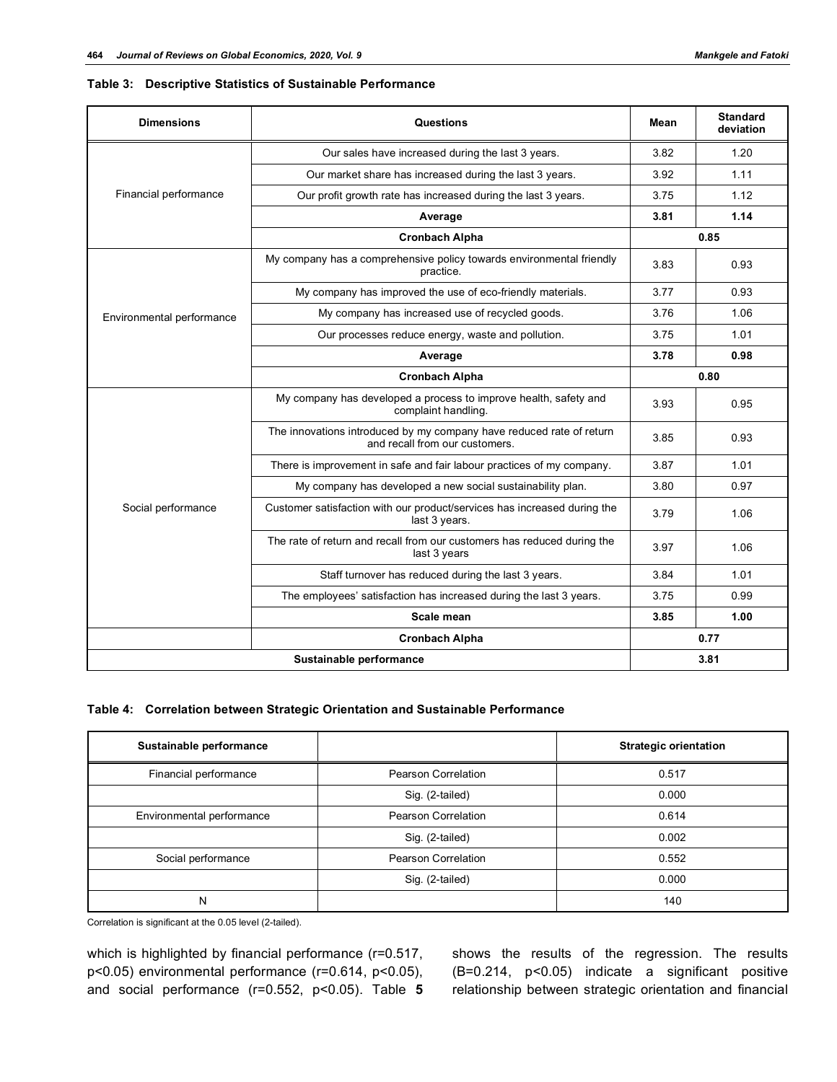## **Table 3: Descriptive Statistics of Sustainable Performance**

| <b>Dimensions</b>         | Questions                                                                                              |      | <b>Standard</b><br>deviation |
|---------------------------|--------------------------------------------------------------------------------------------------------|------|------------------------------|
| Financial performance     | Our sales have increased during the last 3 years.                                                      |      | 1.20                         |
|                           | Our market share has increased during the last 3 years.                                                |      | 1.11                         |
|                           | Our profit growth rate has increased during the last 3 years.                                          |      | 1.12                         |
|                           | Average                                                                                                | 3.81 | 1.14                         |
|                           | <b>Cronbach Alpha</b>                                                                                  | 0.85 |                              |
|                           | My company has a comprehensive policy towards environmental friendly<br>practice.                      |      | 0.93                         |
|                           | My company has improved the use of eco-friendly materials.                                             |      | 0.93                         |
| Environmental performance | My company has increased use of recycled goods.                                                        |      | 1.06                         |
|                           | Our processes reduce energy, waste and pollution.                                                      |      | 1.01                         |
|                           | Average                                                                                                | 3.78 | 0.98                         |
|                           | <b>Cronbach Alpha</b>                                                                                  | 0.80 |                              |
| Social performance        | My company has developed a process to improve health, safety and<br>complaint handling.                |      | 0.95                         |
|                           | The innovations introduced by my company have reduced rate of return<br>and recall from our customers. |      | 0.93                         |
|                           | There is improvement in safe and fair labour practices of my company.                                  |      | 1.01                         |
|                           | My company has developed a new social sustainability plan.                                             |      | 0.97                         |
|                           | Customer satisfaction with our product/services has increased during the<br>last 3 years.              |      | 1.06                         |
|                           | The rate of return and recall from our customers has reduced during the<br>last 3 years                |      | 1.06                         |
|                           | Staff turnover has reduced during the last 3 years.                                                    |      | 1.01                         |
|                           | The employees' satisfaction has increased during the last 3 years.                                     |      | 0.99                         |
|                           | Scale mean                                                                                             | 3.85 | 1.00                         |
| <b>Cronbach Alpha</b>     |                                                                                                        |      | 0.77                         |
| Sustainable performance   |                                                                                                        |      | 3.81                         |

#### **Table 4: Correlation between Strategic Orientation and Sustainable Performance**

| Sustainable performance   |                     | <b>Strategic orientation</b> |
|---------------------------|---------------------|------------------------------|
| Financial performance     | Pearson Correlation | 0.517                        |
|                           | Sig. (2-tailed)     | 0.000                        |
| Environmental performance | Pearson Correlation | 0.614                        |
|                           | Sig. (2-tailed)     | 0.002                        |
| Social performance        | Pearson Correlation | 0.552                        |
|                           | Sig. (2-tailed)     | 0.000                        |
| N                         |                     | 140                          |

Correlation is significant at the 0.05 level (2-tailed).

which is highlighted by financial performance (r=0.517, p<0.05) environmental performance (r=0.614, p<0.05), and social performance (r=0.552, p<0.05). Table **5** shows the results of the regression. The results (B=0.214, p<0.05) indicate a significant positive relationship between strategic orientation and financial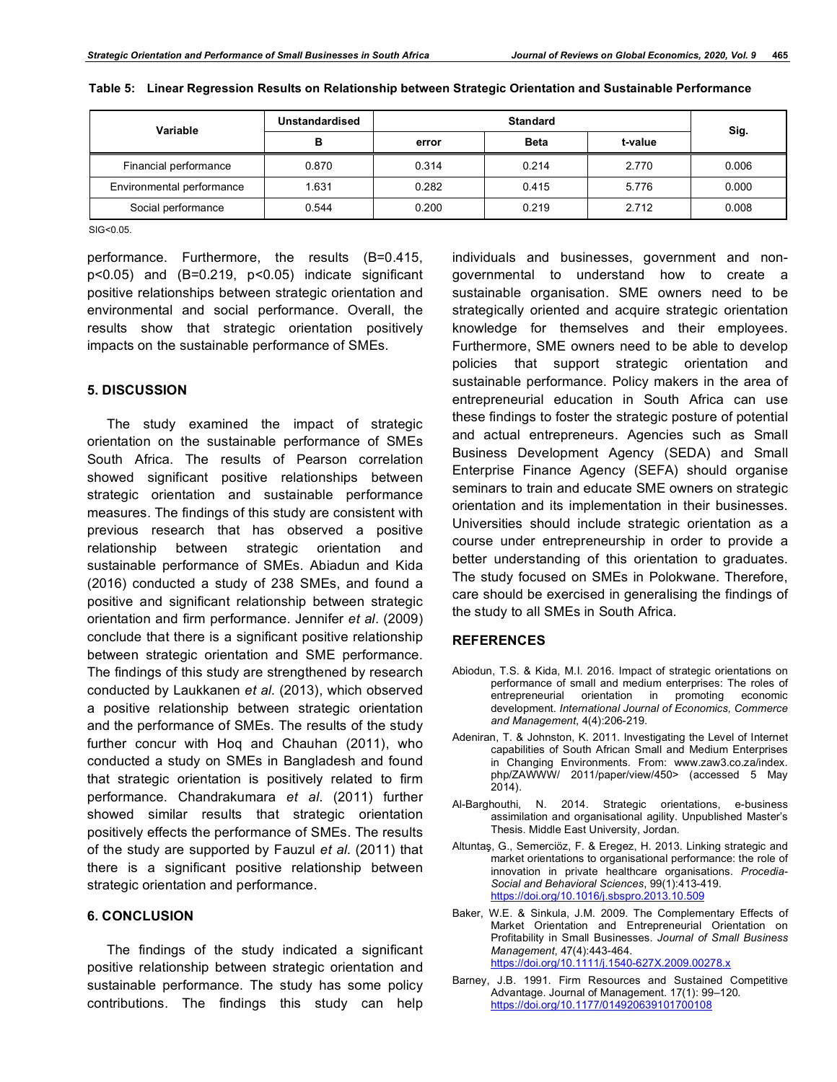| Variable                  | Unstandardised | <b>Standard</b> |             |         |       |
|---------------------------|----------------|-----------------|-------------|---------|-------|
|                           | в              | error           | <b>Beta</b> | t-value | Sig.  |
| Financial performance     | 0.870          | 0.314           | 0.214       | 2.770   | 0.006 |
| Environmental performance | 1.631          | 0.282           | 0.415       | 5.776   | 0.000 |
| Social performance        | 0.544          | 0.200           | 0.219       | 2.712   | 0.008 |

SIG<0.05.

performance. Furthermore, the results (B=0.415, p<0.05) and (B=0.219, p<0.05) indicate significant positive relationships between strategic orientation and environmental and social performance. Overall, the results show that strategic orientation positively impacts on the sustainable performance of SMEs.

### **5. DISCUSSION**

The study examined the impact of strategic orientation on the sustainable performance of SMEs South Africa. The results of Pearson correlation showed significant positive relationships between strategic orientation and sustainable performance measures. The findings of this study are consistent with previous research that has observed a positive relationship between strategic orientation and sustainable performance of SMEs. Abiadun and Kida (2016) conducted a study of 238 SMEs, and found a positive and significant relationship between strategic orientation and firm performance. Jennifer *et al*. (2009) conclude that there is a significant positive relationship between strategic orientation and SME performance. The findings of this study are strengthened by research conducted by Laukkanen *et al*. (2013), which observed a positive relationship between strategic orientation and the performance of SMEs. The results of the study further concur with Hoq and Chauhan (2011), who conducted a study on SMEs in Bangladesh and found that strategic orientation is positively related to firm performance. Chandrakumara *et al*. (2011) further showed similar results that strategic orientation positively effects the performance of SMEs. The results of the study are supported by Fauzul *et al*. (2011) that there is a significant positive relationship between strategic orientation and performance.

# **6. CONCLUSION**

The findings of the study indicated a significant positive relationship between strategic orientation and sustainable performance. The study has some policy contributions. The findings this study can help

individuals and businesses, government and nongovernmental to understand how to create a sustainable organisation. SME owners need to be strategically oriented and acquire strategic orientation knowledge for themselves and their employees. Furthermore, SME owners need to be able to develop policies that support strategic orientation and sustainable performance. Policy makers in the area of entrepreneurial education in South Africa can use these findings to foster the strategic posture of potential and actual entrepreneurs. Agencies such as Small Business Development Agency (SEDA) and Small Enterprise Finance Agency (SEFA) should organise seminars to train and educate SME owners on strategic orientation and its implementation in their businesses. Universities should include strategic orientation as a course under entrepreneurship in order to provide a better understanding of this orientation to graduates. The study focused on SMEs in Polokwane. Therefore, care should be exercised in generalising the findings of the study to all SMEs in South Africa.

#### **REFERENCES**

- Abiodun, T.S. & Kida, M.I. 2016. Impact of strategic orientations on performance of small and medium enterprises: The roles of entrepreneurial orientation in promoting economic development. *International Journal of Economics, Commerce and Management*, 4(4):206-219.
- Adeniran, T. & Johnston, K. 2011. Investigating the Level of Internet capabilities of South African Small and Medium Enterprises in Changing Environments. From: www.zaw3.co.za/index. php/ZAWWW/ 2011/paper/view/450> (accessed 5 May  $2014$ ).
- Al-Barghouthi, N. 2014. Strategic orientations, e-business assimilation and organisational agility. Unpublished Master's Thesis. Middle East University, Jordan.
- Altuntaş, G., Semerciöz, F. & Eregez, H. 2013. Linking strategic and market orientations to organisational performance: the role of innovation in private healthcare organisations. *Procedia-Social and Behavioral Sciences*, 99(1):413-419. https://doi.org/10.1016/j.sbspro.2013.10.509
- Baker, W.E. & Sinkula, J.M. 2009. The Complementary Effects of Market Orientation and Entrepreneurial Orientation on Profitability in Small Businesses. *Journal of Small Business Management*, 47(4):443-464. https://doi.org/10.1111/j.1540-627X.2009.00278.x
- Barney, J.B. 1991. Firm Resources and Sustained Competitive Advantage. Journal of Management. 17(1): 99–120*.* https://doi.org/10.1177/014920639101700108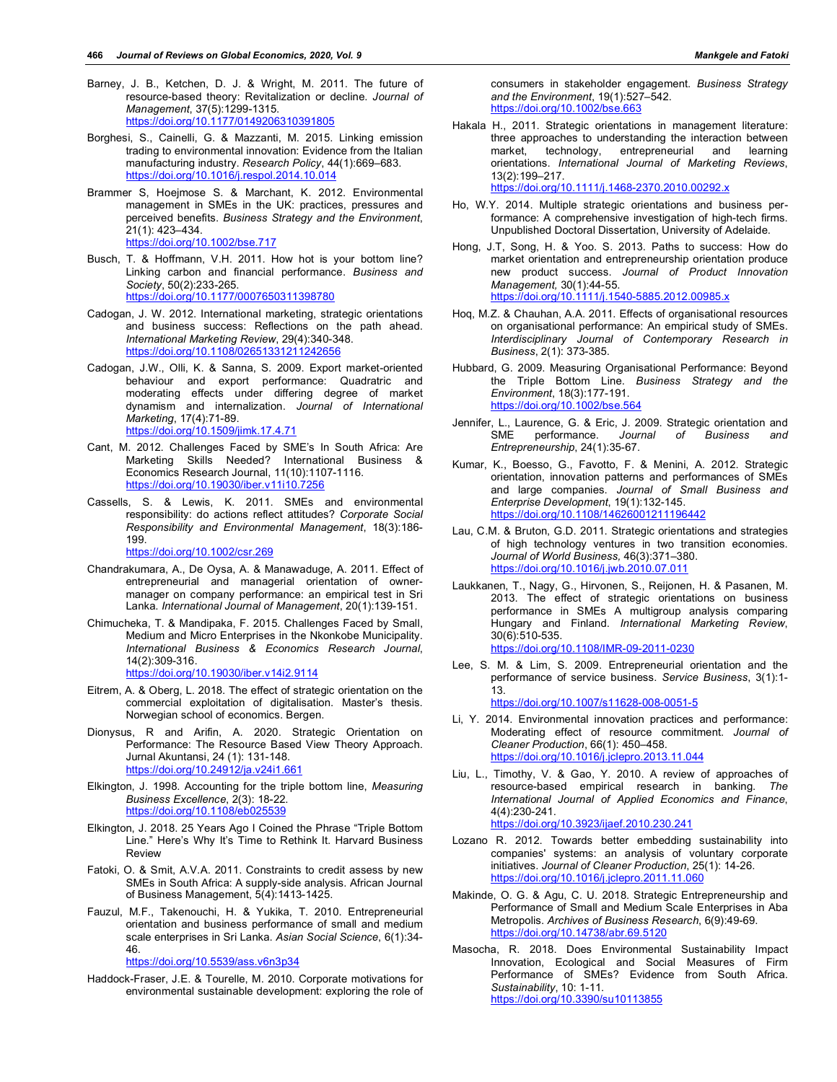- Barney, J. B., Ketchen, D. J. & Wright, M. 2011. The future of resource-based theory: Revitalization or decline. *Journal of Management*, 37(5):1299-1315. https://doi.org/10.1177/0149206310391805
- Borghesi, S., Cainelli, G. & Mazzanti, M. 2015. Linking emission trading to environmental innovation: Evidence from the Italian manufacturing industry. *Research Policy*, 44(1):669–683. https://doi.org/10.1016/j.respol.2014.10.014
- Brammer S, Hoejmose S. & Marchant, K. 2012. Environmental management in SMEs in the UK: practices, pressures and perceived benefits. *Business Strategy and the Environment*, 21(1): 423–434. https://doi.org/10.1002/bse.717
- Busch, T. & Hoffmann, V.H. 2011. How hot is your bottom line? Linking carbon and financial performance. *Business and Society*, 50(2):233-265. https://doi.org/10.1177/0007650311398780
- Cadogan, J. W. 2012. International marketing, strategic orientations and business success: Reflections on the path ahead. *International Marketing Review*, 29(4):340-348. https://doi.org/10.1108/02651331211242656
- Cadogan, J.W., Olli, K. & Sanna, S. 2009. Export market-oriented behaviour and export performance: Quadratric and moderating effects under differing degree of market dynamism and internalization. *Journal of International Marketing*, 17(4):71-89. https://doi.org/10.1509/jimk.17.4.71
- Cant, M. 2012. Challenges Faced by SME's In South Africa: Are Marketing Skills Needed? International Business & Economics Research Journal, 11(10):1107-1116. https://doi.org/10.19030/iber.v11i10.7256
- Cassells, S. & Lewis, K. 2011. SMEs and environmental responsibility: do actions reflect attitudes? *Corporate Social Responsibility and Environmental Management*, 18(3):186- 199.

https://doi.org/10.1002/csr.269

- Chandrakumara, A., De Oysa, A. & Manawaduge, A. 2011. Effect of entrepreneurial and managerial orientation of ownermanager on company performance: an empirical test in Sri Lanka. *International Journal of Management*, 20(1):139-151.
- Chimucheka, T. & Mandipaka, F. 2015. Challenges Faced by Small, Medium and Micro Enterprises in the Nkonkobe Municipality. *International Business & Economics Research Journal*, 14(2):309-316.

https://doi.org/10.19030/iber.v14i2.9114

- Eitrem, A. & Oberg, L. 2018. The effect of strategic orientation on the commercial exploitation of digitalisation. Master's thesis. Norwegian school of economics. Bergen.
- Dionysus, R and Arifin, A. 2020. Strategic Orientation on Performance: The Resource Based View Theory Approach. Jurnal Akuntansi, 24 (1): 131-148. https://doi.org/10.24912/ja.v24i1.661
- Elkington, J. 1998. Accounting for the triple bottom line, *Measuring Business Excellence*, 2(3): 18-22. https://doi.org/10.1108/eb025539
- Elkington, J. 2018. 25 Years Ago I Coined the Phrase "Triple Bottom Line." Here's Why It's Time to Rethink It. Harvard Business Review
- Fatoki, O. & Smit, A.V.A. 2011. Constraints to credit assess by new SMEs in South Africa: A supply-side analysis. African Journal of Business Management, 5(4):1413-1425.
- Fauzul, M.F., Takenouchi, H. & Yukika, T. 2010. Entrepreneurial orientation and business performance of small and medium scale enterprises in Sri Lanka. *Asian Social Science*, 6(1):34- 46.

https://doi.org/10.5539/ass.v6n3p34

Haddock-Fraser, J.E. & Tourelle, M. 2010. Corporate motivations for environmental sustainable development: exploring the role of consumers in stakeholder engagement. *Business Strategy and the Environment*, 19(1):527–542. https://doi.org/10.1002/bse.663

Hakala H., 2011. Strategic orientations in management literature: three approaches to understanding the interaction between market, technology, entrepreneurial and learning orientations. *International Journal of Marketing Reviews*, 13(2):199–217.

https://doi.org/10.1111/j.1468-2370.2010.00292.x

- Ho, W.Y. 2014. Multiple strategic orientations and business performance: A comprehensive investigation of high-tech firms. Unpublished Doctoral Dissertation, University of Adelaide.
- Hong, J.T, Song, H. & Yoo. S. 2013. Paths to success: How do market orientation and entrepreneurship orientation produce new product success. *Journal of Product Innovation Management,* 30(1):44-55. https://doi.org/10.1111/j.1540-5885.2012.00985.x
- Hoq, M.Z. & Chauhan, A.A. 2011. Effects of organisational resources on organisational performance: An empirical study of SMEs. *Interdisciplinary Journal of Contemporary Research in Business*, 2(1): 373-385.
- Hubbard, G. 2009. Measuring Organisational Performance: Beyond the Triple Bottom Line. *Business Strategy and the Environment*, 18(3):177-191. https://doi.org/10.1002/bse.564
- Jennifer, L., Laurence, G. & Eric, J. 2009. Strategic orientation and<br>SME performance. Journal of Business and performance. *Journal of Business and Entrepreneurship*, 24(1):35-67.
- Kumar, K., Boesso, G., Favotto, F. & Menini, A. 2012. Strategic orientation, innovation patterns and performances of SMEs and large companies. *Journal of Small Business and Enterprise Development*, 19(1):132-145. https://doi.org/10.1108/14626001211196442
- Lau, C.M. & Bruton, G.D. 2011. Strategic orientations and strategies of high technology ventures in two transition economies. *Journal of World Business,* 46(3):371–380. https://doi.org/10.1016/j.jwb.2010.07.011
- Laukkanen, T., Nagy, G., Hirvonen, S., Reijonen, H. & Pasanen, M. 2013. The effect of strategic orientations on business performance in SMEs A multigroup analysis comparing Hungary and Finland. *International Marketing Review*, 30(6):510-535. https://doi.org/10.1108/IMR-09-2011-0230
- Lee, S. M. & Lim, S. 2009. Entrepreneurial orientation and the performance of service business. *Service Business*, 3(1):1- 13. https://doi.org/10.1007/s11628-008-0051-5
- Li, Y. 2014. Environmental innovation practices and performance: Moderating effect of resource commitment. *Journal of Cleaner Production*, 66(1): 450–458.
	- https://doi.org/10.1016/j.jclepro.2013.11.044
- Liu, L., Timothy, V. & Gao, Y. 2010. A review of approaches of resource-based empirical research in banking. *The International Journal of Applied Economics and Finance*, 4(4):230-241. https://doi.org/10.3923/ijaef.2010.230.241
- Lozano R. 2012. Towards better embedding sustainability into companies' systems: an analysis of voluntary corporate initiatives. *Journal of Cleaner Production*, 25(1): 14-26. https://doi.org/10.1016/j.jclepro.2011.11.060
- Makinde, O. G. & Agu, C. U. 2018. Strategic Entrepreneurship and Performance of Small and Medium Scale Enterprises in Aba Metropolis. *Archives of Business Research*, 6(9):49-69. https://doi.org/10.14738/abr.69.5120
- Masocha, R. 2018. Does Environmental Sustainability Impact Innovation, Ecological and Social Measures of Firm Performance of SMEs? Evidence from South Africa. *Sustainability*, 10: 1-11. https://doi.org/10.3390/su10113855